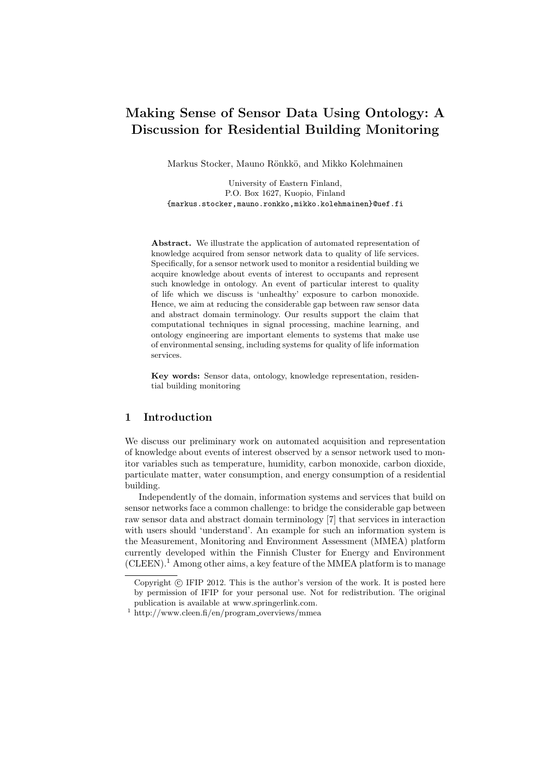# Making Sense of Sensor Data Using Ontology: A Discussion for Residential Building Monitoring

Markus Stocker, Mauno Rönkkö, and Mikko Kolehmainen

University of Eastern Finland, P.O. Box 1627, Kuopio, Finland {markus.stocker,mauno.ronkko,mikko.kolehmainen}@uef.fi

Abstract. We illustrate the application of automated representation of knowledge acquired from sensor network data to quality of life services. Specifically, for a sensor network used to monitor a residential building we acquire knowledge about events of interest to occupants and represent such knowledge in ontology. An event of particular interest to quality of life which we discuss is 'unhealthy' exposure to carbon monoxide. Hence, we aim at reducing the considerable gap between raw sensor data and abstract domain terminology. Our results support the claim that computational techniques in signal processing, machine learning, and ontology engineering are important elements to systems that make use of environmental sensing, including systems for quality of life information services.

Key words: Sensor data, ontology, knowledge representation, residential building monitoring

# 1 Introduction

We discuss our preliminary work on automated acquisition and representation of knowledge about events of interest observed by a sensor network used to monitor variables such as temperature, humidity, carbon monoxide, carbon dioxide, particulate matter, water consumption, and energy consumption of a residential building.

Independently of the domain, information systems and services that build on sensor networks face a common challenge: to bridge the considerable gap between raw sensor data and abstract domain terminology [7] that services in interaction with users should 'understand'. An example for such an information system is the Measurement, Monitoring and Environment Assessment (MMEA) platform currently developed within the Finnish Cluster for Energy and Environment  $(CLEEN).<sup>1</sup>$  Among other aims, a key feature of the MMEA platform is to manage

Copyright © IFIP 2012. This is the author's version of the work. It is posted here by permission of IFIP for your personal use. Not for redistribution. The original publication is available at www.springerlink.com.

<sup>&</sup>lt;sup>1</sup> http://www.cleen.fi/en/program\_overviews/mmea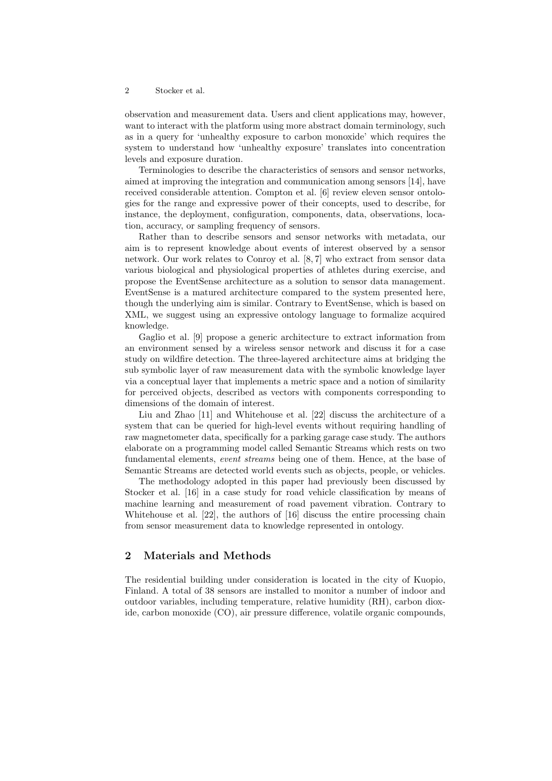observation and measurement data. Users and client applications may, however, want to interact with the platform using more abstract domain terminology, such as in a query for 'unhealthy exposure to carbon monoxide' which requires the system to understand how 'unhealthy exposure' translates into concentration levels and exposure duration.

Terminologies to describe the characteristics of sensors and sensor networks, aimed at improving the integration and communication among sensors [14], have received considerable attention. Compton et al. [6] review eleven sensor ontologies for the range and expressive power of their concepts, used to describe, for instance, the deployment, configuration, components, data, observations, location, accuracy, or sampling frequency of sensors.

Rather than to describe sensors and sensor networks with metadata, our aim is to represent knowledge about events of interest observed by a sensor network. Our work relates to Conroy et al. [8, 7] who extract from sensor data various biological and physiological properties of athletes during exercise, and propose the EventSense architecture as a solution to sensor data management. EventSense is a matured architecture compared to the system presented here, though the underlying aim is similar. Contrary to EventSense, which is based on XML, we suggest using an expressive ontology language to formalize acquired knowledge.

Gaglio et al. [9] propose a generic architecture to extract information from an environment sensed by a wireless sensor network and discuss it for a case study on wildfire detection. The three-layered architecture aims at bridging the sub symbolic layer of raw measurement data with the symbolic knowledge layer via a conceptual layer that implements a metric space and a notion of similarity for perceived objects, described as vectors with components corresponding to dimensions of the domain of interest.

Liu and Zhao [11] and Whitehouse et al. [22] discuss the architecture of a system that can be queried for high-level events without requiring handling of raw magnetometer data, specifically for a parking garage case study. The authors elaborate on a programming model called Semantic Streams which rests on two fundamental elements, event streams being one of them. Hence, at the base of Semantic Streams are detected world events such as objects, people, or vehicles.

The methodology adopted in this paper had previously been discussed by Stocker et al. [16] in a case study for road vehicle classification by means of machine learning and measurement of road pavement vibration. Contrary to Whitehouse et al. [22], the authors of [16] discuss the entire processing chain from sensor measurement data to knowledge represented in ontology.

# 2 Materials and Methods

The residential building under consideration is located in the city of Kuopio, Finland. A total of 38 sensors are installed to monitor a number of indoor and outdoor variables, including temperature, relative humidity (RH), carbon dioxide, carbon monoxide (CO), air pressure difference, volatile organic compounds,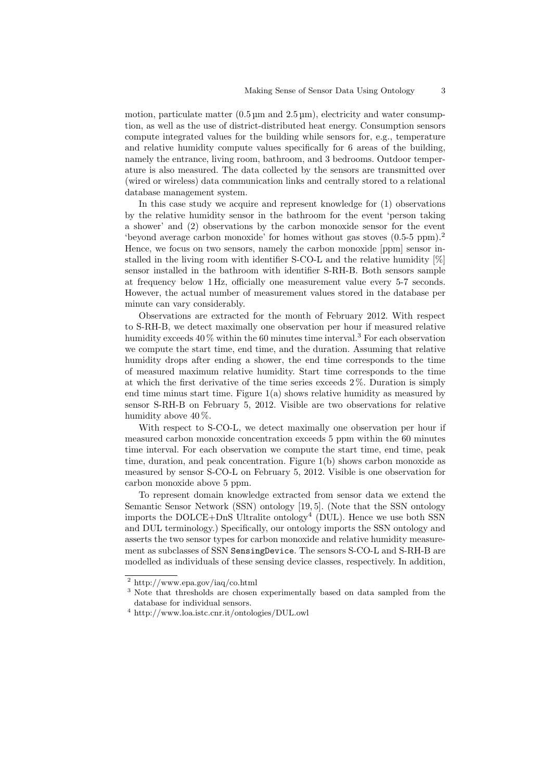motion, particulate matter  $(0.5 \,\text{\mu m})$  and  $2.5 \,\text{\mu m}$ ), electricity and water consumption, as well as the use of district-distributed heat energy. Consumption sensors compute integrated values for the building while sensors for, e.g., temperature and relative humidity compute values specifically for 6 areas of the building, namely the entrance, living room, bathroom, and 3 bedrooms. Outdoor temperature is also measured. The data collected by the sensors are transmitted over (wired or wireless) data communication links and centrally stored to a relational database management system.

In this case study we acquire and represent knowledge for (1) observations by the relative humidity sensor in the bathroom for the event 'person taking a shower' and (2) observations by the carbon monoxide sensor for the event 'beyond average carbon monoxide' for homes without gas stoves  $(0.5-5 \text{ ppm})$ .<sup>2</sup> Hence, we focus on two sensors, namely the carbon monoxide [ppm] sensor installed in the living room with identifier S-CO-L and the relative humidity [%] sensor installed in the bathroom with identifier S-RH-B. Both sensors sample at frequency below 1 Hz, officially one measurement value every 5-7 seconds. However, the actual number of measurement values stored in the database per minute can vary considerably.

Observations are extracted for the month of February 2012. With respect to S-RH-B, we detect maximally one observation per hour if measured relative humidity exceeds  $40\%$  within the 60 minutes time interval.<sup>3</sup> For each observation we compute the start time, end time, and the duration. Assuming that relative humidity drops after ending a shower, the end time corresponds to the time of measured maximum relative humidity. Start time corresponds to the time at which the first derivative of the time series exceeds 2 %. Duration is simply end time minus start time. Figure 1(a) shows relative humidity as measured by sensor S-RH-B on February 5, 2012. Visible are two observations for relative humidity above  $40\%$ .

With respect to S-CO-L, we detect maximally one observation per hour if measured carbon monoxide concentration exceeds 5 ppm within the 60 minutes time interval. For each observation we compute the start time, end time, peak time, duration, and peak concentration. Figure 1(b) shows carbon monoxide as measured by sensor S-CO-L on February 5, 2012. Visible is one observation for carbon monoxide above 5 ppm.

To represent domain knowledge extracted from sensor data we extend the Semantic Sensor Network (SSN) ontology [19, 5]. (Note that the SSN ontology imports the DOLCE+DnS Ultralite ontology<sup>4</sup> (DUL). Hence we use both SSN and DUL terminology.) Specifically, our ontology imports the SSN ontology and asserts the two sensor types for carbon monoxide and relative humidity measurement as subclasses of SSN SensingDevice. The sensors S-CO-L and S-RH-B are modelled as individuals of these sensing device classes, respectively. In addition,

<sup>2</sup> http://www.epa.gov/iaq/co.html

<sup>3</sup> Note that thresholds are chosen experimentally based on data sampled from the database for individual sensors.

 $^4$ http://www.loa.istc.cnr.it/ontologies/DUL.owl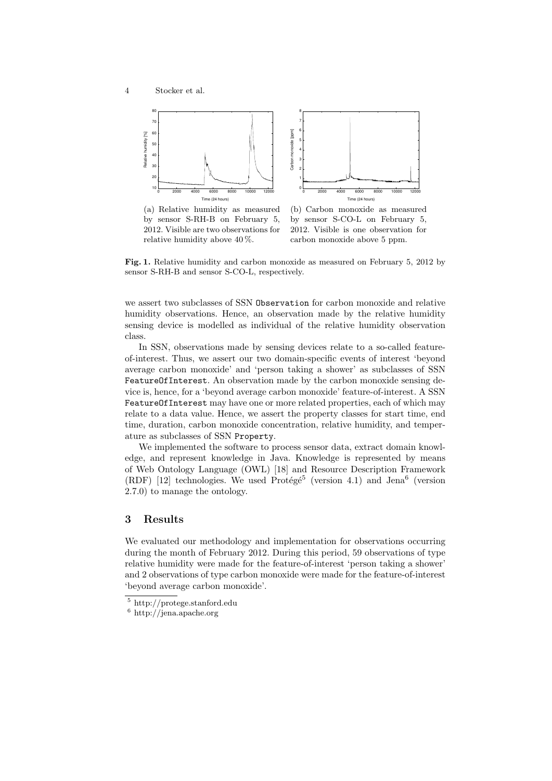

(a) Relative humidity as measured by sensor S-RH-B on February 5, 2012. Visible are two observations for relative humidity above 40 %.





we assert two subclasses of SSN Observation for carbon monoxide and relative humidity observations. Hence, an observation made by the relative humidity sensing device is modelled as individual of the relative humidity observation class.

In SSN, observations made by sensing devices relate to a so-called featureof-interest. Thus, we assert our two domain-specific events of interest 'beyond average carbon monoxide' and 'person taking a shower' as subclasses of SSN FeatureOfInterest. An observation made by the carbon monoxide sensing device is, hence, for a 'beyond average carbon monoxide' feature-of-interest. A SSN FeatureOfInterest may have one or more related properties, each of which may relate to a data value. Hence, we assert the property classes for start time, end time, duration, carbon monoxide concentration, relative humidity, and temperature as subclasses of SSN Property.

We implemented the software to process sensor data, extract domain knowledge, and represent knowledge in Java. Knowledge is represented by means of Web Ontology Language (OWL) [18] and Resource Description Framework (RDF) [12] technologies. We used Protégé<sup>5</sup> (version 4.1) and Jena<sup>6</sup> (version 2.7.0) to manage the ontology.

## 3 Results

We evaluated our methodology and implementation for observations occurring during the month of February 2012. During this period, 59 observations of type relative humidity were made for the feature-of-interest 'person taking a shower' and 2 observations of type carbon monoxide were made for the feature-of-interest 'beyond average carbon monoxide'.

<sup>5</sup> http://protege.stanford.edu

 $^6$ http://jena.apache.org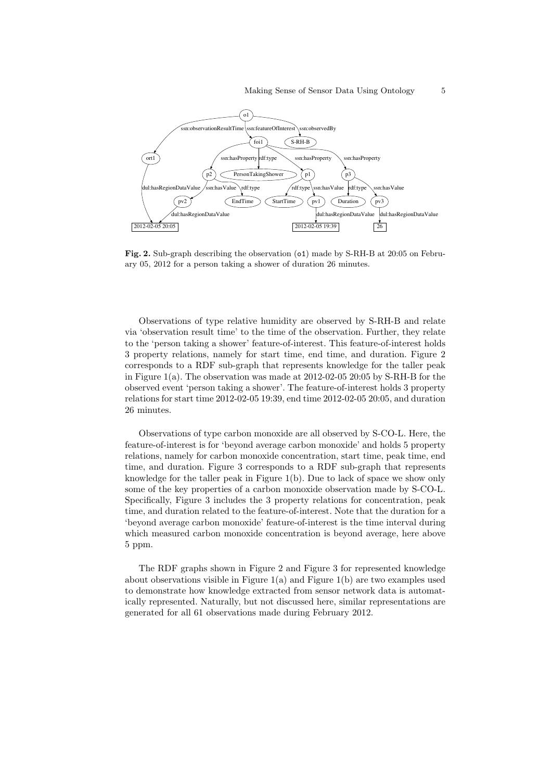

Fig. 2. Sub-graph describing the observation (o1) made by S-RH-B at 20:05 on February 05, 2012 for a person taking a shower of duration 26 minutes.

Observations of type relative humidity are observed by S-RH-B and relate via 'observation result time' to the time of the observation. Further, they relate to the 'person taking a shower' feature-of-interest. This feature-of-interest holds 3 property relations, namely for start time, end time, and duration. Figure 2 corresponds to a RDF sub-graph that represents knowledge for the taller peak in Figure 1(a). The observation was made at  $2012-02-05$  20:05 by S-RH-B for the observed event 'person taking a shower'. The feature-of-interest holds 3 property relations for start time 2012-02-05 19:39, end time 2012-02-05 20:05, and duration 26 minutes.

Observations of type carbon monoxide are all observed by S-CO-L. Here, the feature-of-interest is for 'beyond average carbon monoxide' and holds 5 property relations, namely for carbon monoxide concentration, start time, peak time, end time, and duration. Figure 3 corresponds to a RDF sub-graph that represents knowledge for the taller peak in Figure 1(b). Due to lack of space we show only some of the key properties of a carbon monoxide observation made by S-CO-L. Specifically, Figure 3 includes the 3 property relations for concentration, peak time, and duration related to the feature-of-interest. Note that the duration for a 'beyond average carbon monoxide' feature-of-interest is the time interval during which measured carbon monoxide concentration is beyond average, here above 5 ppm.

The RDF graphs shown in Figure 2 and Figure 3 for represented knowledge about observations visible in Figure 1(a) and Figure 1(b) are two examples used to demonstrate how knowledge extracted from sensor network data is automatically represented. Naturally, but not discussed here, similar representations are generated for all 61 observations made during February 2012.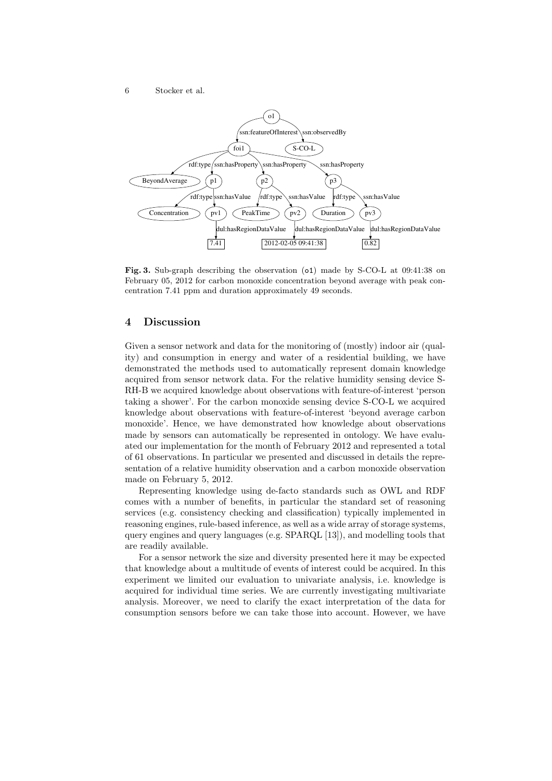

Fig. 3. Sub-graph describing the observation (o1) made by S-CO-L at 09:41:38 on February 05, 2012 for carbon monoxide concentration beyond average with peak concentration 7.41 ppm and duration approximately 49 seconds.

# 4 Discussion

Given a sensor network and data for the monitoring of (mostly) indoor air (quality) and consumption in energy and water of a residential building, we have demonstrated the methods used to automatically represent domain knowledge acquired from sensor network data. For the relative humidity sensing device S-RH-B we acquired knowledge about observations with feature-of-interest 'person taking a shower'. For the carbon monoxide sensing device S-CO-L we acquired knowledge about observations with feature-of-interest 'beyond average carbon monoxide'. Hence, we have demonstrated how knowledge about observations made by sensors can automatically be represented in ontology. We have evaluated our implementation for the month of February 2012 and represented a total of 61 observations. In particular we presented and discussed in details the representation of a relative humidity observation and a carbon monoxide observation made on February 5, 2012.

Representing knowledge using de-facto standards such as OWL and RDF comes with a number of benefits, in particular the standard set of reasoning services (e.g. consistency checking and classification) typically implemented in reasoning engines, rule-based inference, as well as a wide array of storage systems, query engines and query languages (e.g. SPARQL [13]), and modelling tools that are readily available.

For a sensor network the size and diversity presented here it may be expected that knowledge about a multitude of events of interest could be acquired. In this experiment we limited our evaluation to univariate analysis, i.e. knowledge is acquired for individual time series. We are currently investigating multivariate analysis. Moreover, we need to clarify the exact interpretation of the data for consumption sensors before we can take those into account. However, we have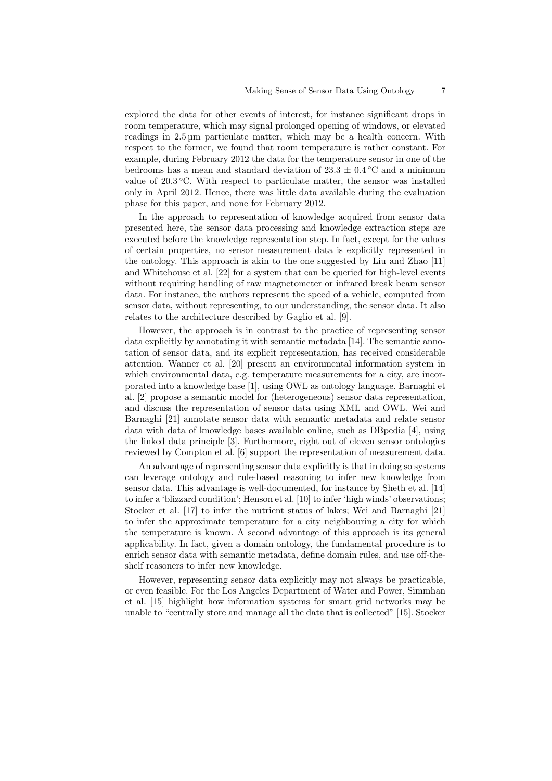explored the data for other events of interest, for instance significant drops in room temperature, which may signal prolonged opening of windows, or elevated readings in 2.5 µm particulate matter, which may be a health concern. With respect to the former, we found that room temperature is rather constant. For example, during February 2012 the data for the temperature sensor in one of the bedrooms has a mean and standard deviation of  $23.3 \pm 0.4$  °C and a minimum value of 20.3 °C. With respect to particulate matter, the sensor was installed only in April 2012. Hence, there was little data available during the evaluation phase for this paper, and none for February 2012.

In the approach to representation of knowledge acquired from sensor data presented here, the sensor data processing and knowledge extraction steps are executed before the knowledge representation step. In fact, except for the values of certain properties, no sensor measurement data is explicitly represented in the ontology. This approach is akin to the one suggested by Liu and Zhao [11] and Whitehouse et al. [22] for a system that can be queried for high-level events without requiring handling of raw magnetometer or infrared break beam sensor data. For instance, the authors represent the speed of a vehicle, computed from sensor data, without representing, to our understanding, the sensor data. It also relates to the architecture described by Gaglio et al. [9].

However, the approach is in contrast to the practice of representing sensor data explicitly by annotating it with semantic metadata [14]. The semantic annotation of sensor data, and its explicit representation, has received considerable attention. Wanner et al. [20] present an environmental information system in which environmental data, e.g. temperature measurements for a city, are incorporated into a knowledge base [1], using OWL as ontology language. Barnaghi et al. [2] propose a semantic model for (heterogeneous) sensor data representation, and discuss the representation of sensor data using XML and OWL. Wei and Barnaghi [21] annotate sensor data with semantic metadata and relate sensor data with data of knowledge bases available online, such as DBpedia [4], using the linked data principle [3]. Furthermore, eight out of eleven sensor ontologies reviewed by Compton et al. [6] support the representation of measurement data.

An advantage of representing sensor data explicitly is that in doing so systems can leverage ontology and rule-based reasoning to infer new knowledge from sensor data. This advantage is well-documented, for instance by Sheth et al. [14] to infer a 'blizzard condition'; Henson et al. [10] to infer 'high winds' observations; Stocker et al. [17] to infer the nutrient status of lakes; Wei and Barnaghi [21] to infer the approximate temperature for a city neighbouring a city for which the temperature is known. A second advantage of this approach is its general applicability. In fact, given a domain ontology, the fundamental procedure is to enrich sensor data with semantic metadata, define domain rules, and use off-theshelf reasoners to infer new knowledge.

However, representing sensor data explicitly may not always be practicable, or even feasible. For the Los Angeles Department of Water and Power, Simmhan et al. [15] highlight how information systems for smart grid networks may be unable to "centrally store and manage all the data that is collected" [15]. Stocker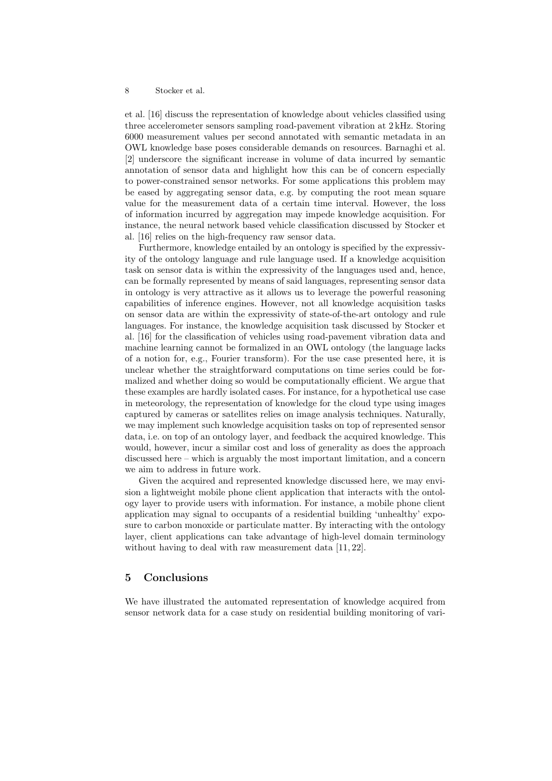et al. [16] discuss the representation of knowledge about vehicles classified using three accelerometer sensors sampling road-pavement vibration at 2 kHz. Storing 6000 measurement values per second annotated with semantic metadata in an OWL knowledge base poses considerable demands on resources. Barnaghi et al. [2] underscore the significant increase in volume of data incurred by semantic annotation of sensor data and highlight how this can be of concern especially to power-constrained sensor networks. For some applications this problem may be eased by aggregating sensor data, e.g. by computing the root mean square value for the measurement data of a certain time interval. However, the loss of information incurred by aggregation may impede knowledge acquisition. For instance, the neural network based vehicle classification discussed by Stocker et al. [16] relies on the high-frequency raw sensor data.

Furthermore, knowledge entailed by an ontology is specified by the expressivity of the ontology language and rule language used. If a knowledge acquisition task on sensor data is within the expressivity of the languages used and, hence, can be formally represented by means of said languages, representing sensor data in ontology is very attractive as it allows us to leverage the powerful reasoning capabilities of inference engines. However, not all knowledge acquisition tasks on sensor data are within the expressivity of state-of-the-art ontology and rule languages. For instance, the knowledge acquisition task discussed by Stocker et al. [16] for the classification of vehicles using road-pavement vibration data and machine learning cannot be formalized in an OWL ontology (the language lacks of a notion for, e.g., Fourier transform). For the use case presented here, it is unclear whether the straightforward computations on time series could be formalized and whether doing so would be computationally efficient. We argue that these examples are hardly isolated cases. For instance, for a hypothetical use case in meteorology, the representation of knowledge for the cloud type using images captured by cameras or satellites relies on image analysis techniques. Naturally, we may implement such knowledge acquisition tasks on top of represented sensor data, i.e. on top of an ontology layer, and feedback the acquired knowledge. This would, however, incur a similar cost and loss of generality as does the approach discussed here – which is arguably the most important limitation, and a concern we aim to address in future work.

Given the acquired and represented knowledge discussed here, we may envision a lightweight mobile phone client application that interacts with the ontology layer to provide users with information. For instance, a mobile phone client application may signal to occupants of a residential building 'unhealthy' exposure to carbon monoxide or particulate matter. By interacting with the ontology layer, client applications can take advantage of high-level domain terminology without having to deal with raw measurement data [11, 22].

## 5 Conclusions

We have illustrated the automated representation of knowledge acquired from sensor network data for a case study on residential building monitoring of vari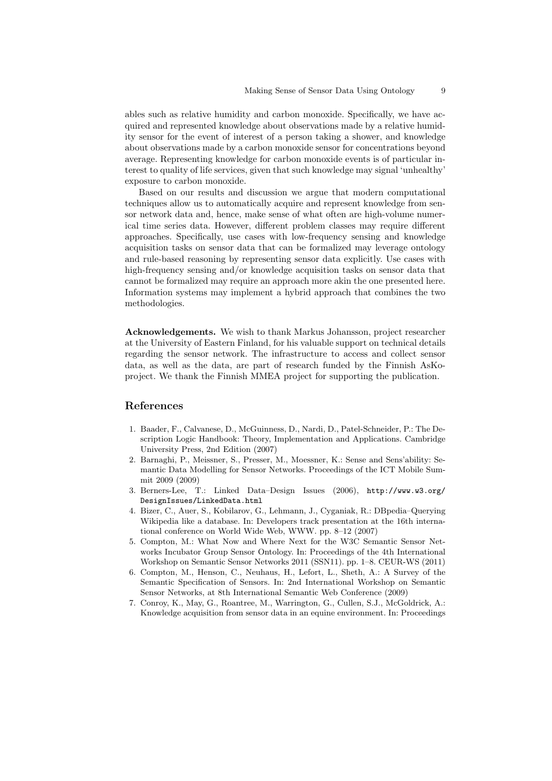ables such as relative humidity and carbon monoxide. Specifically, we have acquired and represented knowledge about observations made by a relative humidity sensor for the event of interest of a person taking a shower, and knowledge about observations made by a carbon monoxide sensor for concentrations beyond average. Representing knowledge for carbon monoxide events is of particular interest to quality of life services, given that such knowledge may signal 'unhealthy' exposure to carbon monoxide.

Based on our results and discussion we argue that modern computational techniques allow us to automatically acquire and represent knowledge from sensor network data and, hence, make sense of what often are high-volume numerical time series data. However, different problem classes may require different approaches. Specifically, use cases with low-frequency sensing and knowledge acquisition tasks on sensor data that can be formalized may leverage ontology and rule-based reasoning by representing sensor data explicitly. Use cases with high-frequency sensing and/or knowledge acquisition tasks on sensor data that cannot be formalized may require an approach more akin the one presented here. Information systems may implement a hybrid approach that combines the two methodologies.

Acknowledgements. We wish to thank Markus Johansson, project researcher at the University of Eastern Finland, for his valuable support on technical details regarding the sensor network. The infrastructure to access and collect sensor data, as well as the data, are part of research funded by the Finnish AsKoproject. We thank the Finnish MMEA project for supporting the publication.

# References

- 1. Baader, F., Calvanese, D., McGuinness, D., Nardi, D., Patel-Schneider, P.: The Description Logic Handbook: Theory, Implementation and Applications. Cambridge University Press, 2nd Edition (2007)
- 2. Barnaghi, P., Meissner, S., Presser, M., Moessner, K.: Sense and Sens'ability: Semantic Data Modelling for Sensor Networks. Proceedings of the ICT Mobile Summit 2009 (2009)
- 3. Berners-Lee, T.: Linked Data–Design Issues (2006), http://www.w3.org/ DesignIssues/LinkedData.html
- 4. Bizer, C., Auer, S., Kobilarov, G., Lehmann, J., Cyganiak, R.: DBpedia–Querying Wikipedia like a database. In: Developers track presentation at the 16th international conference on World Wide Web, WWW. pp. 8–12 (2007)
- 5. Compton, M.: What Now and Where Next for the W3C Semantic Sensor Networks Incubator Group Sensor Ontology. In: Proceedings of the 4th International Workshop on Semantic Sensor Networks 2011 (SSN11). pp. 1–8. CEUR-WS (2011)
- 6. Compton, M., Henson, C., Neuhaus, H., Lefort, L., Sheth, A.: A Survey of the Semantic Specification of Sensors. In: 2nd International Workshop on Semantic Sensor Networks, at 8th International Semantic Web Conference (2009)
- 7. Conroy, K., May, G., Roantree, M., Warrington, G., Cullen, S.J., McGoldrick, A.: Knowledge acquisition from sensor data in an equine environment. In: Proceedings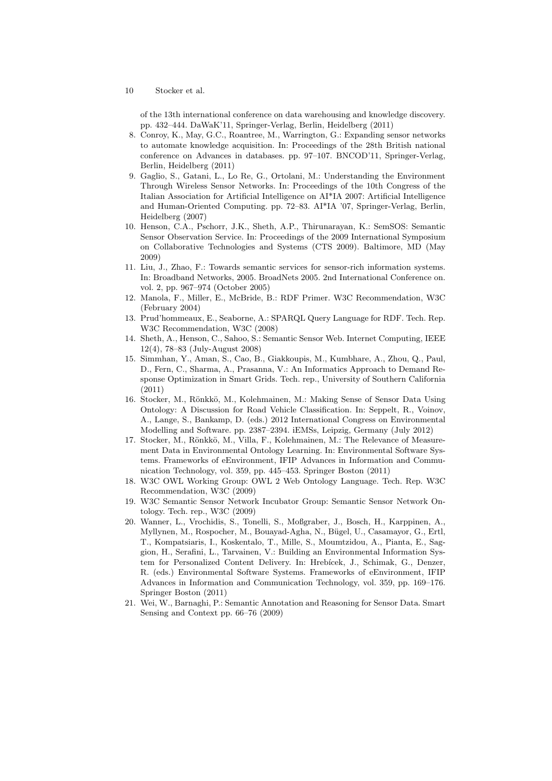of the 13th international conference on data warehousing and knowledge discovery. pp. 432–444. DaWaK'11, Springer-Verlag, Berlin, Heidelberg (2011)

- 8. Conroy, K., May, G.C., Roantree, M., Warrington, G.: Expanding sensor networks to automate knowledge acquisition. In: Proceedings of the 28th British national conference on Advances in databases. pp. 97–107. BNCOD'11, Springer-Verlag, Berlin, Heidelberg (2011)
- 9. Gaglio, S., Gatani, L., Lo Re, G., Ortolani, M.: Understanding the Environment Through Wireless Sensor Networks. In: Proceedings of the 10th Congress of the Italian Association for Artificial Intelligence on AI\*IA 2007: Artificial Intelligence and Human-Oriented Computing. pp. 72–83. AI\*IA '07, Springer-Verlag, Berlin, Heidelberg (2007)
- 10. Henson, C.A., Pschorr, J.K., Sheth, A.P., Thirunarayan, K.: SemSOS: Semantic Sensor Observation Service. In: Proceedings of the 2009 International Symposium on Collaborative Technologies and Systems (CTS 2009). Baltimore, MD (May 2009)
- 11. Liu, J., Zhao, F.: Towards semantic services for sensor-rich information systems. In: Broadband Networks, 2005. BroadNets 2005. 2nd International Conference on. vol. 2, pp. 967–974 (October 2005)
- 12. Manola, F., Miller, E., McBride, B.: RDF Primer. W3C Recommendation, W3C (February 2004)
- 13. Prud'hommeaux, E., Seaborne, A.: SPARQL Query Language for RDF. Tech. Rep. W3C Recommendation, W3C (2008)
- 14. Sheth, A., Henson, C., Sahoo, S.: Semantic Sensor Web. Internet Computing, IEEE 12(4), 78–83 (July-August 2008)
- 15. Simmhan, Y., Aman, S., Cao, B., Giakkoupis, M., Kumbhare, A., Zhou, Q., Paul, D., Fern, C., Sharma, A., Prasanna, V.: An Informatics Approach to Demand Response Optimization in Smart Grids. Tech. rep., University of Southern California (2011)
- 16. Stocker, M., Rönkkö, M., Kolehmainen, M.: Making Sense of Sensor Data Using Ontology: A Discussion for Road Vehicle Classification. In: Seppelt, R., Voinov, A., Lange, S., Bankamp, D. (eds.) 2012 International Congress on Environmental Modelling and Software. pp. 2387–2394. iEMSs, Leipzig, Germany (July 2012)
- 17. Stocker, M., Rönkkö, M., Villa, F., Kolehmainen, M.: The Relevance of Measurement Data in Environmental Ontology Learning. In: Environmental Software Systems. Frameworks of eEnvironment, IFIP Advances in Information and Communication Technology, vol. 359, pp. 445–453. Springer Boston (2011)
- 18. W3C OWL Working Group: OWL 2 Web Ontology Language. Tech. Rep. W3C Recommendation, W3C (2009)
- 19. W3C Semantic Sensor Network Incubator Group: Semantic Sensor Network Ontology. Tech. rep., W3C (2009)
- 20. Wanner, L., Vrochidis, S., Tonelli, S., Moßgraber, J., Bosch, H., Karppinen, A., Myllynen, M., Rospocher, M., Bouayad-Agha, N., Bügel, U., Casamayor, G., Ertl, T., Kompatsiaris, I., Koskentalo, T., Mille, S., Moumtzidou, A., Pianta, E., Saggion, H., Serafini, L., Tarvainen, V.: Building an Environmental Information System for Personalized Content Delivery. In: Hrebícek, J., Schimak, G., Denzer, R. (eds.) Environmental Software Systems. Frameworks of eEnvironment, IFIP Advances in Information and Communication Technology, vol. 359, pp. 169–176. Springer Boston (2011)
- 21. Wei, W., Barnaghi, P.: Semantic Annotation and Reasoning for Sensor Data. Smart Sensing and Context pp. 66–76 (2009)